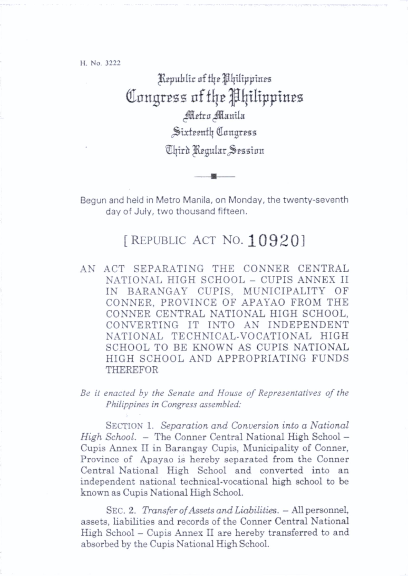H. No. 3222

Kepublic of the Philippines Congress of the Philippines Metro Manila Sixteenth Congress ^Ijirh Jljgular^^eaaion

Begun and held in Metro Manila, on Monday, the twenty-seventh day of July, two thousand fifteen.

 $\blacksquare$ 

## [REPUBLIC ACT NO.  $109201$

AN ACT SEPARATING THE CONNER CENTRAL NATIONAL HIGH SCHOOL - CUPIS ANNEX II IN BARANGAY CUPIS, MUNICIPALITY OF CONNER, PROVINCE OF APAYAO FROM THE CONNER CENTRAL NATIONAL HIGH SCHOOL, CONVERTING IT INTO AN INDEPENDENT NATIONAL TECHNICAL-VOCATIONAL HIGH SCHOOL TO BE KNOWN AS CUPIS NATIONAL HIGH SCHOOL AND APPROPRIATING FUNDS THEREFOR

Be it enacted by the Senate and House of Representatives of the Philippines in Congress assembled:

SECTION 1. Separation and Conversion into a National High School. - The Conner Central National High School -Cupis Annex II in Barangay Cupis, Municipality of Conner, Province of Apayao is hereby separated from the Conner Central National High School and converted into an independent national technical-vocational high school to be known as Cupis National High School.

SEC. 2. Transfer of Assets and Liabilities. - All personnel, assets, liabilities and records of the Conner Central National High School - Cupis Annex II are hereby transferred to and absorbed by the Cupis National High School.